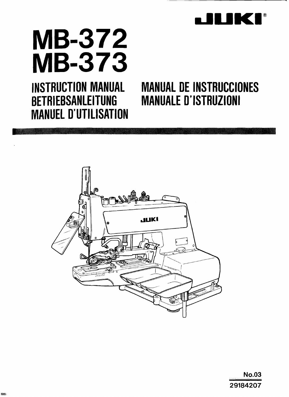

# **MB-372 MB-373**

**MANUEL D'UTILISATION** 

# **INSTRUCTION MANUAL MANUAL DE INSTRUCCIONES BETRIEBSANLEITUNG MANUALE D'ISTRUZIONI**



**No.03** 29184207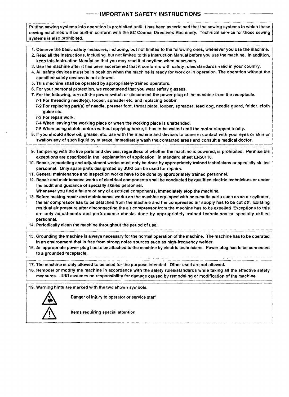#### **IMPORTANT SAFETY INSTRUCTIONS**

- Putting sewing systems into operation is prohibited until it has been ascertained that the sewing systems in which these sewing machines will be built-in conform with the EC Council Directives Machinery. Technical service for those sewing systems is also prohibited.

- PI. Observe the basic safety measures, including, but not limited to the following ones, whenever you use the machine.
- 2. Read all the instructions, including, but not limited to this lnstruction Manual before you use the machine. In addition, keep this Instruction Manual so that you may read it at anytime when necessary.
- 3. Use the machine after it has been ascertained that it conforms with safety ruleslstandards valid in your country.
- 4. All safety devices must be in position when the machine is ready for work or in operation. The operation without the specified safety devices is not allowed.
- 5. This machine shall be operated by appropriately-trained operators.
- 6. For your personal protection, we recommend that you wear safety glasses.
- 7. For the following, turn off the power switch or disconnect the power plug of the machine from the receptacle.
	- 7-1 For threading needle(s), looper, spreader etc. and replacing bobbin.
	- 7-2 For replacing part(s) of needle, presser foot, throat plate, looper, spreader, feed dog, needle guard, folder, cloth guide etc.
	- 7-3 For repair work.
	- 7-4 When leaving the working place or when the working place is unattended.
	- 7-5 When using clutch motors without applying brake, it has to be waited until the motor stopped totally.
- 8. If you should allow oil, grease, etc. use with the machine and devices to come in contact with your eyes or skin or  $\begin{array}{r} \n 7-4 \text{ When } 1 \\
 7-5 \text{ When } 1 \\
 8. \text{ If you sho} \\
 \hline \text{swallow an} \\
 \hline \text{9. Tampering} \n\end{array}$ 
	- 9. Tampering with the live parts and devices, regardless of whether the machine is powered, is prohibited. Permissible exceptions are described in the "explanation of application" in standard sheet EN501 10.
- 10. Repair, remodeling and adjustment works must only be done by appropriately trained technicians or specially skilled personnel. Only spare parts designated by JUKl can be used for repairs.
- 11. General maintenance and inspection works have to be done by appropriately trained personnel.
- 12. Repair and maintenance works of electrical components shall be conducted by qualified electric technicians **or** under the audit and guidance of specially skilled personnel.
- Whenever you find a failure of any of electrical components, immediately stop the machine.
- 13. Before making repair and maintenance works on the machine equipped with pneumatic parts such as an air cylinder, the air compressor has to be detached from the machine and the compressed air supply has to be cut off. Existing residual air pressure after disconnecting the air compressor from the machine has to be expelled. Exceptions to this are only adjustments and performance checks done by appropriately trained technicians or specially skilled personnel. 14. Periodically clean the machine throughout the period of use.
	-
- in an environment that is free from strong noise sources such as high-frequency welder.
- to a grounded receptacle. 16. An appropriate power plug has to be attached to the machine by electric technicians. Power plug has to be connected<br>
to a grounded receptacle.
- 17. The machine is only allowed to be used for the purpose intended. Other used are not allowed.

measures. JUKI assumes no responsibility for damage caused by remodeling or modification of the machine. 18. Remodel or modify the machine in accordance with the safety rules/standards while taking all the effective safety  $\begin{array}{c|c} \hline \hline \hline \hline \hline \end{array}$ 

I

19. Warning hints are marked with the two shown symbols.



Danger of injury to operator or service staff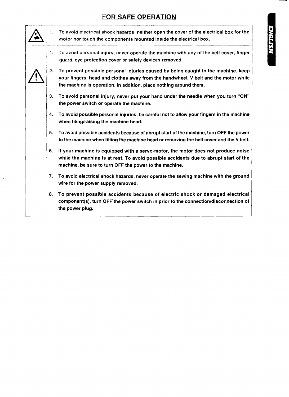# **FOR SAFE OPERATION**

| 1. | To avoid electrical shock hazards, neither open the cover of the electrical box for the<br>motor nor touch the components mounted inside the electrical box.                                                                                 |
|----|----------------------------------------------------------------------------------------------------------------------------------------------------------------------------------------------------------------------------------------------|
| 1. | To avoid personal injury, never operate the machine with any of the belt cover, finger<br>guard, eye protection cover or safety devices removed.                                                                                             |
| 2. | To prevent possible personal injuries caused by being caught in the machine, keep<br>your fingers, head and clothes away from the handwheel, V belt and the motor while<br>the machine is operation. In addition, place nothing around them. |
| 3. | To avoid personal injury, never put your hand under the needle when you turn "ON"<br>the power switch or operate the machine.                                                                                                                |
| 4. | To avoid possible personal injuries, be careful not to allow your fingers in the machine<br>when tiling/raising the machine head.                                                                                                            |
| 5. | To avoid possible accidents because of abrupt start of the machine, turn OFF the power<br>to the machine when tilting the machine head or removing the belt cover and the V belt.                                                            |
| 6. | If your machine is equipped with a servo-motor, the motor does not produce noise<br>while the machine is at rest. To avoid possible accidents due to abrupt start of the<br>machine, be sure to turn OFF the power to the machine.           |
| 7. | To avoid electrical shock hazards, never operate the sewing machine with the ground<br>wire for the power supply removed.                                                                                                                    |
| 8. | To prevent possible accidents because of electric shock or damaged electrical<br>component(s), turn OFF the power switch in prior to the connection/disconnection of<br>the power plug.                                                      |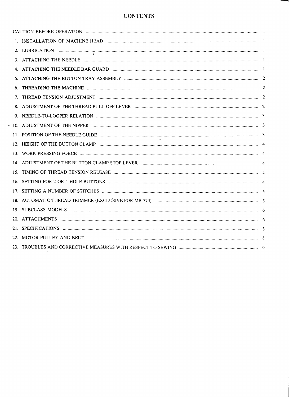## **CONTENTS**

| 6. | THREADING THE MACHINE <b>www.communically.communications</b> and the material contract and a contract a contract a contract a contract a contract a contract a contract a contract a contract a contract a contract a contract a co |  |
|----|-------------------------------------------------------------------------------------------------------------------------------------------------------------------------------------------------------------------------------------|--|
|    |                                                                                                                                                                                                                                     |  |
|    |                                                                                                                                                                                                                                     |  |
|    |                                                                                                                                                                                                                                     |  |
|    |                                                                                                                                                                                                                                     |  |
|    |                                                                                                                                                                                                                                     |  |
|    |                                                                                                                                                                                                                                     |  |
|    |                                                                                                                                                                                                                                     |  |
|    |                                                                                                                                                                                                                                     |  |
|    |                                                                                                                                                                                                                                     |  |
|    |                                                                                                                                                                                                                                     |  |
|    |                                                                                                                                                                                                                                     |  |
|    |                                                                                                                                                                                                                                     |  |
|    |                                                                                                                                                                                                                                     |  |
|    |                                                                                                                                                                                                                                     |  |
|    |                                                                                                                                                                                                                                     |  |
|    |                                                                                                                                                                                                                                     |  |
|    |                                                                                                                                                                                                                                     |  |

 $\ddot{\phantom{a}}$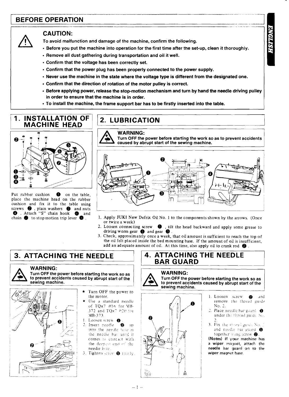# **FRAME OPERATION**<br> **FRAME OPERATION**

#### **CAUTION:**

To avoid malfunction and damage of the machine, confirm the following.

- Before you put the machine into operation for the first time after the set-up, clean it thoroughly.
- Remove all dust gathering during transportation and oil it well.
- Confirm that the voltage has been correctly set.
- Confirm that the power plug has been properly connected to the power supply.
- $\cdot$  Never use the machine in the state where the voltage type is different from the designated one.
- $\cdot$  Confirm that the direction of rotation of the motor pulley is correct.
- Before applying power, release the stop-motion mechanism and turn by hand the needle driving pulley in order to ensure that the machine is in order. **2. LUBRICATION**<br> **2. LUBRICATION**<br> **2. LUBRICATION**<br> **2. LUBRICATION**<br> **2. LUBRICATION**<br> **2. LUBRICATION**<br> **2. LUBRICATION**<br> **2. LUBRICATION**<br> **2. LUBRICATION**<br> **2.** LUBRICATION
- $\cdot$  To install the machine, the frame support bar has to be firstly inserted into the table.

# **1. INSTALLATION OF MACHINE HEAD**



Put rabber cushion **0** on the table, place the machine head on the rubber cushion and fix it to the table using screws  $\bullet$ , plain washers  $\bullet$  and nuts **O** . Attach "S" chain hook **O** and chain **O** to stop motion trip lever **O** .

**WARNING:** 

Turn **OFF** the power before starting the work so as to prevent accidents I caused by abrupt start of the sewing machine.



- 1. Apply JUKI New Defrix Oil No. 1 to the components shown by the arrows. (Once or twice a week)
- **2. Loosen connecting screw**  $\bullet$ , tilt the head backward and apply some grease to driving worm gear  $\bullet$  and gear  $\bullet$ .
- 3. Check, approximately once a week, that oil amount is sufficient to reach the top of the oil felt placed inside the bed mounting base. If the amount of oil is insufficient, add an adequate amount of oil. At this time, also apply oil to crank rod  $\bigcirc$

# **3. ATTACHING THE NEEDLE**

#### **WARNING:**



Turn **OFF** the power before starting the work so as to prevent accidents caused by abrupt start of the sewing machine. wer before starting the work so as<br>
mts caused by abrupt start of the<br>  $\star$  Turn OFF the power to<br>  $\star$  Turn OFF the power to<br>  $\star$  Use a standard needle



- the motor.
	- Use a standard needle of  $TOx7 #16$  for MB-372 and TQx<sup>7</sup> #20 for ! **1** MS-373.
- Loosen screw  $\bigcirc$ .<br>Insert needle  $\bigcirc$ 2. Insert needle  $\bigotimes$  up into the needle hote in the needle bar until it comes in contact with the deepest end of the needie hole.
- *3.* Tighten screw **@** i::::ily

#### **4. ATTACHING THE NEEDLE** ! **BAR GUARD**

**WARNING:**<br>Turn OFF the power before starting the work so as to prevent accidents caused by abrupt start of the<br>sewing machine.



- 1. Loosen screw @ and remove the thread guide No. 2.
- 2. Place needle bar guard  $\bigcirc$ under the thread guide No.
- 3. Fix the thread guide No. .<br>and needle bar guard **O** together  $\n *time is circle w ② ②*$

(Notes) If your machine has a wiper magnet, attach the needle bar guard on to **the**  wiper magnet base.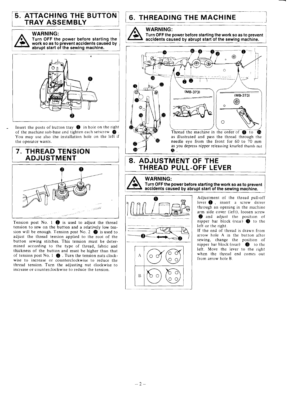#### **5. ATTACHING THE BUTTON TRAY ASSEMBLY**  $\begin{array}{c} \begin{array}{c} \begin{array}{c} \begin{array}{c} \end{array} \end{array} \end{array}$

**WARNING:**<br>
Turn OFF the power before starting the<br>
abrupt start of the sewing machine. abrupt start of the sewing machine.



Insert the posts of button tray **0** in hole on the right of the machine sub-base and tighten each setscrew **Q)** . You may use also the installation hole on the left if the operator wants.

## <sup>1</sup>**7. THREAD TENSION**  / **ADJUSTMENT** <sup>1</sup>



Tension post No. 1  $\bullet$  is used to adjust the thread tension to sew on the button and a relatively low tension will be enough. Tension post No. 2  $\bullet$  is used to adjust the thread tension applied to the root of the button sewing stitches. This tension must be determined according to the type of thread, fabric and thickness of the button and must be higher than that of tension post No. 1 **0** . Turn the tension nuts clockwise to increase or counterclockwise to reduce the thread tension. Turn the adjusting nut clockwise to increase or counterclockwise to reduce the tension.

# **6. THREADING THE MACHINE**

6. THREADING THE MACHINE<br>
WARNING:<br>
Turn OFF the power before starting the work so as to prevent<br>
accidents caused by abrupt start of the sewing machine. Turn OFF the power before starting the work so as to prevent accidents caused by abrupt start of the sewing machine. accidents caused by abrupt start of the sewing machine.



#### 8. ADJUSTMENT OF THE **THREAD PULL-OFF LEVER**

#### **WARNING:**

**Turn OFF the power before starting the work so as to prevent accidents caused by abrupt start of the sewing machine.** 



**0 Adjustment** of the thread pull-off lever  $\bigcirc$ , insert a screw driver through an opening in the machine arm side cover (left), loosen screw

 $\overline{\phantom{a}}$ 

If the end of thread is drawn from arrow hole A In the button after sewing, change the position of nipper bar block (rear) **8** to the left. Move the lever to the right when the thread end comes out from arrow hole B.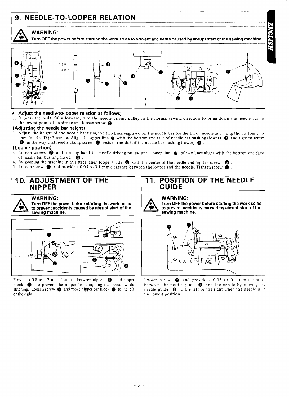# **9. NEEDLE-TO-LOOPER RELATION**



<sup>I</sup>**Turn OFF !he power before starting the work so as to prevent accidents caused by abrupt start of the sewing machine.** <sup>i</sup>



# \* **Adjust the needle-to-looper relation as follows;**

Depress the pedal fully forward, turn the needle driving pulley in the normal sewing direction to bring down the needle bar to the lowest point of its stroke and loosen screw  $\bigoplus$ .

#### **(Adjusting the needle bar height)**

2. Adjust the height of the needle bar using top two lines engraved on the needle bar for the **TQx** 1 needle and using the bottom two lines for the **TQx7** needle. Align the upper line **Q** with the bottom end face of needle bar bushing (lower) **8)** and tighten screw  $\bullet$  in the way that needle clamp screw  $\bullet$  rests in the slot of the needle bar bushing (lower)  $\bullet$ .

#### **(Looper position),**

- 3. Loosen screws  $\bullet$  and turn by hand the needle driving pulley until lower line  $\bullet$  of two lines aligns with the bottom end face of needle bar bushing (lower) **6)** .
- 4. By keeping the machine in this state, align looper blade  $\bigcirc$  with the center of the needle and tighten screws  $\bigcirc$ .
- 5. Loosen screw **8** and provide a 0.05 to 0.1 mm clearance between the looper and the needle. Tighten screw **8** .

### **10. ADJUSTMENT NIPPER**

#### **WARNING:**

**Turn OFF the power before starting the work so as to prevent accidents caused by abrupt start of the sewing machine.** 



Provide a 0.8 to 1.2 mm clearance between nipper  $\bullet$  and nipper Loosen screw  $\bullet$  and provide a 0.05 to 0.1 mm clearance block  $\bullet$  to prevent the nipper from nipping the thread while between the needle guide  $\bullet$  and th stitching. Loosen screw **6** and move nipper bar block **6** to the left needle guide **0** to the left or the right when the needle is in or the right.

#### **11. POSITION OF THE NEEDLE GUIDE**



**Turn OFF the power before starting the work so as to prevent accidents caused by abrupt start of the sewing machine.** 



block **@** to prevent the nipper from nipping the thread while between the needle guide **0** and the needle by moving the stitching. Loosen screw **@** and move nipper bar block **@** to the left of the left or the right when th the lowest position.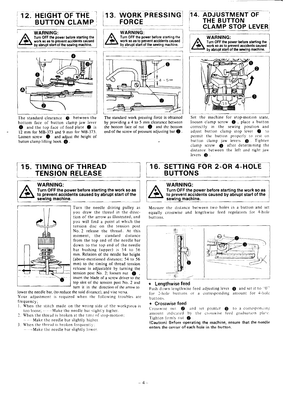

bottom face of button clamp jaw lever **O** and the top face of feed plate **@** is - 12 mrn for **MB-373** and 9 mn? for **MB-373.**  Loosen screw **@** and adjust the height of button clamp lifting hook  $\bigcirc$ .



**Turn OFF the power before starting the WARNING:**  $\sum_{\text{Turn OFF the no}}$ 



The standard work pressing force is obtaincd by providing a **4** to 5 mm clearance between the bottom face of nut  $\bullet$  and the bottom end of the screw of pressure adjusting bar  $\bullet$ .

I

# **THE BUTTON CLAMP STOP LEVER Turn OFF the power before starting the** Furn OFF the power before starting the work so as to prevent accidents caused<br>by abrupt start of the sewing machine. **17 If the setting machine.** <br> **17 If the sewing machine.** By abrupt start of the sewing machine.



Set the machine for stop-motion state, loosen clamp screw  $\bigcirc$ , place a button correctly in the sewing position and adjust button clamp stop lever @ to permit the button properly *to* rest on button clamp jaw levers **Q** . Tighten clamp screw  $\bigcirc$  after determining the distance between the left and right jaw levers **Q** .



#### **WARNING:** I

**Turn OFF the power before starting the work so as to prevent accidents caused by abrupt start of the sewina machine.** 



Turn the needle driving pulley as you draw the thread in the direction of the arrow as illustrated. and you will find a point at which the tension disc on the tension post No. 2 release the thread. At this moment, the standard distance from the top end of the needle bar down to the top end of the needle bar bushing (upper) is 54 to 56 mm. Relation of the needle bar height (above-mentioned distance; 54 to 56 mm) to the timing of thread tension release is adjuslable by turning the tension post No. 2; loosen nut **0** , insert the blade of a screw driver to the top slot of thc tension post No. 2 and turn it in the direction of the arrow to

lower the needle bar, (to reduce the said distance). and vise versa. Your adjustment is required when the following troubles are frequency;

- 1. When the stitch made on the wrong side of the workpiece is too loose; ----Make the needle bar slightly higher.
- 2. When the thread is broken at the time of stop-motion;  $-$  ---- Make the needle bar slightly higher.
- **3. When the thread is broken frequently:** ----Make the needle bar slightly lower.

# Examples the set of the left and right jaw<br>distance between the left and right jaw<br>levers <sup>16</sup><br>**BUTTONS**

#### **WARNING:**

**Turn OFF the power before starting the work so as to prevent accidents caused by abrupt start of the sewing machine. sewing machine.**   $\frac{1}{\pi}$  of the

Measure the distance between two holes in a button and set as<br>he<br>iset equally crosswise and lengthwise feed regulators for 4-hole buttons.



#### \* **Lengthwise feed**

Push down lengthwise feed adjusting lever  $\bullet$  and set it to "0" for 2-hole buttons or a corresponding amount for 4-hole buttons.

#### \* **Crosswise feed**

Crosswise nut **Q** and set pointer **Q** to a corresponding amount indicated by the crosswise feed graduation plate. Tighten firmly nut  $\, \, \circ \,$ 

(Caution) Before operating the machine, ensure that the needle **enters the** center **of** each hole in **the** button.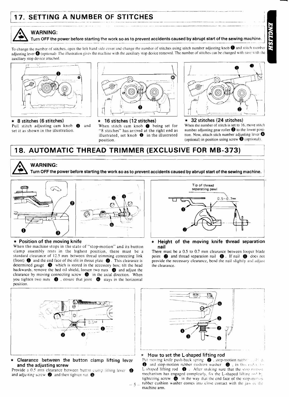# $\frac{1}{17}$  setting a numper of stitches **17. SETTING A NUMBER OF STITCHES** - .. - - . ~ ...~ ~- .~ ~ ~

#### i **WARNING:**

#### Turn OFF the power before starting the work so as to prevent accidents caused by abrupt start of the sewing machine

To change the number of stitches, open the left-hand side cover and change the number of stitches using stitch number adjusting knob  $\bullet$  and stitch number adjusting lever  $\bigcirc$  (optional). The illustration gives the machine with the auxiliary stop device removed. The number of stitches can be changed with ease with the auxiliary stop device attached.





Pull stitch adjusting cam knob **a** and When stitch cam knob **being set for** When the number of stitch is set to 16, move stitch set it as shown in the illustration. "8 stitches" has arrived at the right end as number adjus "8 stitches" has arrived at the right end as illustrated, set knob  $\bullet$  in the illustrated illustrated, set knob  $\bullet$  in the illustrated tion. Now, attach stich number adjusting lever  $\bullet$  cosition nosition



\* **8 stitches (6 stitches)** \* **16 stitches (12 stitches)** \* **32 stitches (24 stitches)**<br>Pull stitch adjusting cam knob **0** and When stitch cam knob **0** being set for When the number of stitch is set to 16, move stitch (optional) in position using screw  $\bigcirc$  (optional).

## **18. AUTOMATIC THREAD TRIMMER (EXCLUSIVE FOR MB-373)**



**WARNING:** 



#### \* Position of the moving knife

When the machine stops in the state of "stop-motion" and its button clamp assembly rests in the highest position, there must be a standard clearance of 12.5 mm bctwecn thread trimming connecting link (front)  $\bigcirc$  and the end face of the slit in throat plate  $\bigcirc$ . This clearance is determined gauge @ which is stored in the accessory box: tilt the head backwards, remove the bed oil shield, loosen two nuts **0** and adjust the clearance by moving connecting screw @ in the axial direction. When you tighten two nuts **0** , ensure that joint @ stays in the horizontal position.



**Clearance between the button clamp lifting lever Figure 20 and <b>Clearance between** the button clamp lifting lever Put moving knife push-back spring @, step-motion rubber with a

**Provide a 0.5 min clearance between button clamp lifting lever.**  $\bigcirc$  **and adjusting screw**  $\bigcirc$  **and then tighten nut**  $\bigcirc$ **.** 



\* **Height of the moving knife thread separation nail** 

There must be a  $0.5$  to  $0.7$  mm clearance between looper blade point **@** and thread separation nail **0**. If nail **0** does not provide the necessary clearance, bend the nail slightly and adjust the clearance.



**and the adjusting screw . I I I III III III Canno** if  $f$  **. I o n E** and stop-motion rubber cushion washer  $\bullet$ , in this ender to obvide a 0.5 mm clearance between button clamp lifting lever  $\bullet$  mechanism has engaged completely, fix the L-shaped lifting rod hy tightening screw  $\bigcirc$  in the way that the end face of the stop-motion  $\frac{1}{\sqrt{2}}$  5  $\frac{1}{\sqrt{2}}$  rubber cushion washer comes into close contact with the jaw of the machine arm.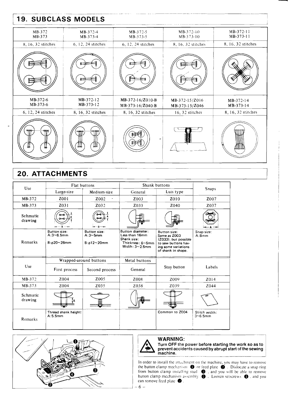# **19. SUBCLASS MODELS**

| MB-372<br>MB-373     | MB-372-4<br>MB-373-4   | MB-372-5<br>MB-373-5                 | $MB-372-10$<br>MB-373-10         | MB-372-11<br>MB-373-11 |
|----------------------|------------------------|--------------------------------------|----------------------------------|------------------------|
| 8, 16, 32 stitches   | 6, 12, 24 stitches     | 6, 12, 24 stitches                   | 8, 16, 32 stitches               | 8, 16, 32 stitches     |
|                      |                        |                                      |                                  |                        |
| MB-372-6<br>MB-373-6 | MB-372-12<br>MB-373-12 | MB-372-16/Z010-B<br>MB-373-16/Z040-B | MB-372-15/Z016<br>MB-373-15/Z046 | MB-372-14<br>MB-373-14 |
| 6, 12, 24 stitches   | 8, 16, 32 stitches     | 8, 16, 32 stitches                   | 16, 32 stitches                  | 8, 16, 32 stitches     |
| مخط                  | ooppo<br>999           |                                      |                                  |                        |

# **20. ATTACHMENTS**

| Use                 | Flat buttons                                                 |                                                                | Shank buttons                                                                                           |                                                                                                                                 |                                 |  |
|---------------------|--------------------------------------------------------------|----------------------------------------------------------------|---------------------------------------------------------------------------------------------------------|---------------------------------------------------------------------------------------------------------------------------------|---------------------------------|--|
|                     | Large-size                                                   | Medium-size                                                    | General                                                                                                 | Luis type                                                                                                                       | Snaps                           |  |
| MB-372              | Z001                                                         | Z002                                                           | Z003                                                                                                    | Z010                                                                                                                            | Z <sub>007</sub>                |  |
| MB-373              | Z031                                                         | Z032                                                           | Z033                                                                                                    | Z040                                                                                                                            | Z037                            |  |
| Schmatic<br>drawing |                                                              |                                                                |                                                                                                         |                                                                                                                                 |                                 |  |
| Remarks             | <b>Button size:</b><br>$A:3 \sim 6.5$ mm<br>$B:\phi$ 20~28mm | <b>Button size:</b><br>$A:3 \sim 5$ mm<br>$B:\phi12\sim 20$ mm | Button diameter:<br>Less than 16mm<br>Shank size:<br>Thickness: $6 \sim 5$ mm<br>Width: $3 \sim 2.5$ mm | <b>Button size:</b><br>Same as Z003<br>(Z033), but possible<br>to sew buttons hav-<br>ing some variations<br>of shank in shape. | Snap size:<br>A:8mm             |  |
|                     | Wrapped-around buttons                                       |                                                                | Metal buttons                                                                                           |                                                                                                                                 |                                 |  |
| Use                 | First process                                                | Second process                                                 | General                                                                                                 | Stay button                                                                                                                     | Labels                          |  |
| MB-372              | Z004                                                         | Z005                                                           | Z008                                                                                                    | Z009                                                                                                                            | Z014                            |  |
| MB-373              | Z004                                                         | Z035                                                           | Z038                                                                                                    | Z039                                                                                                                            | Z044                            |  |
| Schmatic<br>drawing |                                                              |                                                                |                                                                                                         |                                                                                                                                 |                                 |  |
| Remarks             | Thread shank height:<br>A:5.5mm                              |                                                                |                                                                                                         | Common to Z004                                                                                                                  | Stitch width:<br>$3\neg 6.5$ mm |  |



#### **WARNING:**



Turn OFF the power before starting the work so as to<br>prevent accidents caused by abrupt start of the sewing machine.

In order to install the attachment on the machine, you may have to remove the button clamp mechanism  $\bullet$  or feed plate  $\bullet$ . Dislocate a snap ring from button clamp installing students.  $\bullet$ , and you will be able to remove<br>button clamp mechanism assembly  $\bullet$ . Loosen setscrews  $\bullet$ , and you can remove feed plate <sup>@</sup>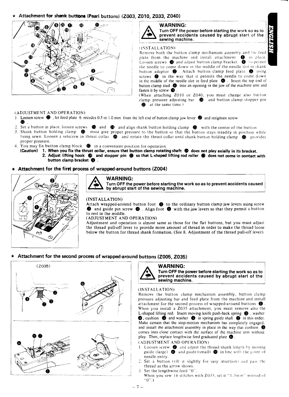#### \* Attachment for shank buttons (Pearl buttons) (Z003, Z010, Z033, Z040)



#### **WARNING:**



#### (INSTALLATION)

Remove both the button clamp mechanism assembly and the feed plate from the machine and install attachment  $\bullet$  in place. Loosen screws  $\bigcirc$  and adjust button clamp bracket  $\bigcirc$  to permit the needle to come down in the middle of the needle slot in shank button adaptor  $\bullet$ . Attach button clamp feed plate  $\bullet$  using screws  $\bullet$  in the way that it permits the needle to come down in the middle of the needle slot in feed plate  $\bigcirc$ . Insert the top end of button clamp stud  $\bullet$  into an opening in the jaw of the machine arm and fasten it by screw  $\bullet$ .

(When attaching Z010 or Z040, you must change also button clamp pressure adjusting bar  $\bigoplus$  and button clamp stopper pin at the same time.) А.

#### (ADJUSTMENT AND OPERATION)

- Loosen screw  $\bigoplus$ , let feed plate 6 recedes 0.5 to 1.0 mm from the left end of button clamp jaw lever  $\bigoplus$  and retighten screw  $\mathbf{1}$ ❸.
- Set a button in place, loosen screws  $\bullet\bullet$  and  $\bullet\bullet$  and align shank button holding clamp  $\bullet\bullet$  with the center of the button. 3. Shank button holding clamp  $\bullet\hspace{-.15cm}\bullet\hspace{-.15cm}$  must give proper pressure to the button so that the button stays steadily in position while being sewn. Loosen a setscrew in thrust collar  $\bullet$  and rotate the thrust collar until shank button holding clamp  $\bullet$  provides proper pressure.
- $\overline{4}$ You may fix button clamp block  $\bullet$  in a convenient position for operation.
	- 1. When you fix the thrust collar, ensure that button clamp rotating shaft  $\bullet$  does not play axially in its bracket. (Caution) 2. Adjust lifting hook  $\circled{m}$  and stopper pin  $\circled{m}$  so that L-shaped lifting rod roller  $\circled{m}$  does not come in contact with button clamp bracket  $\bigoplus$ .
- Attachment for the first process of wrapped-around buttons (Z004)



# **WARNING:**

#### Turn OFF the power before starting the work so as to prevent accidents caused by abrupt start of the sewing machine.

#### (INSTALLATION)

Attach wrapped-around button foot  $\bullet$  to the ordinary button clamp jaw levers using screw **2** and guide pin screw  $\bullet$ . Align foot  $\bullet$  with the jaw levers so that they permit a button to rest in the middle.

(ADJUSTMENT AND OPERATION)

Adjustment and operation is almost same as those for the flat buttons, but you must adjust the thread pull-off lever to provide more amount of thread in order to make the thread loose below the button for thread shank formation. (See 8. Adjustment of the thread pull-off lever).

#### \* Attachment for the second process of wrapped-around buttons (Z005, Z035)



#### **WARNING:**



Turn OFF the power before starting the work so as to prevent accidents caused by abrupt start of the sewing machine.

#### (INSTALLATION)

Remove the button clamp mechanism assembly, button clamp pressure adjusting bar and feed plate from the machine and install attachment for the second process of wrapped-around buttons  $\bigcirc$ . When you install a Z035 attachment, you must remove also the L-shaped lifting rod. Insert moving knife push-back spring <sup>8</sup>, washer  $\bullet$ , cushion  $\bullet$  and washer  $\bullet$  in spring guide shaft  $\bullet$  in this order. Make certain that the stop-motion mechanism has completely engaged, and install the attachment assembly in place in the way that cushion  $\bullet$ comes into close contact with the surface of the machine arm without play. Then, replace lengthwise feed graduated plate  $\bigcirc$ .

(ADJUSTMENT AND OPERATION)

- 1. Loosen screw  $\bullet$  and adjust the thread shank length by moving guide (large)  $\bullet$  and guide (small)  $\bullet$  in line with the point of needle entry.
- 2. Set a button (tilt it slightly for easy insertion) and pass the thread as the arrow shows.
- Set the lengthwise feed "0" When you sew 16 stitches with Z035, set it "1.5mm" instead of  $0$ ...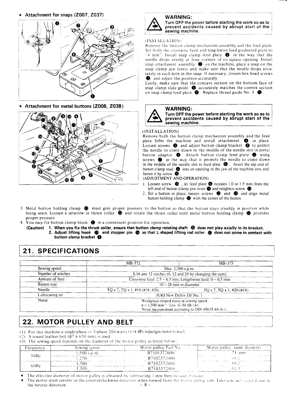





# WARNING:<br>Turn OFF the power before starting the work so as to Figure 1 accidents caused by abrupt start of the sewing machine.

#### **<sup>I</sup>**INS1 .ALL?-\I ION!

#### (INSTALLATION)

- **1.** Loosen screw @ , let feed plate @ recedes 1.0 to 1.5 mm from the left end of button clamp jaw lever **@** and retighten screw **@**
- 2. Set a button in place, loosen screws **Q)** and @ and align metal button holding clamp @ with the center of the button.
- 3. Metal button holding clamp  $\bullet$  must give proper pressure to the button so that the button stays steadily in position while being sewn. Loosen a setscrew in thrust collar  $\bigcirc$  and rotate the thrust collar until metal button holding clamp  $\bigcirc$  provides proper pressure.
- 4. You may fix button clamp block @ in a convenient position for operation.
	- **(Caution) 1. When you fix the thrust collar, ensure that button clamp rotating shaft** @ **does not play axially in its bracket. 2. Adjust lifting hook** @ **and stopper pin** @ **so that L-shaped lifting rod roller** (B **does not come in contact with button clamp bracket 0.**

# / **21. SPECIFICATIONS**

| $\mathcal{H}(\mathbb{Z})$                                                                                                                                                                                                                                                                                                                                                                                                                                                                                                                                                      | <b>WARNING:</b><br>Turn OFF the power before starting the work so as to<br>prevent accidents caused by abrupt start of the<br>sewing machine<br>sewing machine.<br>$\omega$ is spectra constructions and the transformation of the $\omega$<br>(INSTALLATION)                                                                                                                                                                                                                                                  |  |  |  |  |
|--------------------------------------------------------------------------------------------------------------------------------------------------------------------------------------------------------------------------------------------------------------------------------------------------------------------------------------------------------------------------------------------------------------------------------------------------------------------------------------------------------------------------------------------------------------------------------|----------------------------------------------------------------------------------------------------------------------------------------------------------------------------------------------------------------------------------------------------------------------------------------------------------------------------------------------------------------------------------------------------------------------------------------------------------------------------------------------------------------|--|--|--|--|
| ★ Attachment for snaps (Z007, Z037)<br>$\sqrt{2\pi}$<br>$\tilde{\phantom{a}}$<br>$\sim$ $\approx$<br>V                                                                                                                                                                                                                                                                                                                                                                                                                                                                         | Remove the button clamp mechanism assembly and the feed plate.<br>Remove the button clamp mechanism assembly and the teed plate.<br>Set both the crosswise feed and lengthwise feed graduated plate to<br>"4 mm". Install snap clamp feed plate $\bullet$ in the way that the<br>needle drops evenly at four                                                                                                                                                                                                   |  |  |  |  |
| * Attachment for metal buttons (Z008, Z038)<br>$\mathcal{O}(\mathbf{0}, \mathbf{0})$                                                                                                                                                                                                                                                                                                                                                                                                                                                                                           | _______<br>WARNING:<br>Turn OFF the power before starting the work so as to<br>prevent accidents caused by abrupt start of the<br>sewing machine.<br>(INSTALLATION)                                                                                                                                                                                                                                                                                                                                            |  |  |  |  |
|                                                                                                                                                                                                                                                                                                                                                                                                                                                                                                                                                                                | (INSTALLATION)<br>Remove both the button clamp mechanism assembly and the feed<br>plate from the machine and install attachment<br>Loosen screws<br><b>O</b> and adjust button clamp bracket<br><b>O</b> to permit<br>the needle to come down in th                                                                                                                                                                                                                                                            |  |  |  |  |
|                                                                                                                                                                                                                                                                                                                                                                                                                                                                                                                                                                                | 1. Loosen screw $\bullet$ , let feed plate $\bullet$ recedes 1.0 to 1.5 mm from the left end of button clamp jaw lever $\bullet$ and retighten screw $\bullet$ .<br>2. Set a button in place, loosen screws $\bullet$ and $\bullet$ and align metal button holdi<br>3. Metal button holding clamp $\bullet$ must give proper pressure to the button so that the button stays steadily in position while<br>being sewn. Loosen a setscrew in thrust collar $\bullet$ and rotate the thrust collar until metal b |  |  |  |  |
| 21. SPECIFICATIONS<br>$MB-372$                                                                                                                                                                                                                                                                                                                                                                                                                                                                                                                                                 | $\overline{MB-373}$<br>________<br>$\overline{\text{Max. 1,500 s.p.m.}}$                                                                                                                                                                                                                                                                                                                                                                                                                                       |  |  |  |  |
| Sewing speed<br>Number of stitches<br>Amount of feed<br>Button size<br>Necdle<br>$TQ \times 7$ , $TQ \times 1$ , $#16$ ( $#18$ , $#20$ )<br>Lubricating oil<br>Noise                                                                                                                                                                                                                                                                                                                                                                                                           | 8,16 and 32 stitches (6, 12 and 24 by changing the cam)<br>Crosswise feed: $2.5 \approx 6.5$ mm, Lengthwise feed: $0 \approx 6.5$ mm<br>TQ x 7, TQ x 1, #20 (\$#18)<br>JUKI New Defrix Oil No. 1                                                                                                                                                                                                                                                                                                               |  |  |  |  |
| 22. MOTOR PULLEY AND BELT                                                                                                                                                                                                                                                                                                                                                                                                                                                                                                                                                      | Workplace-related noise at sewing speed<br>$n = 1,500 \text{ min}^{-1}$ : LPA $\leq 84$ dB (A)<br>Noise measurement according to DIN 45635-48-A-1.                                                                                                                                                                                                                                                                                                                                                             |  |  |  |  |
| (1) For this machine a single-phase or 3-phase 200 watts $(1/4 \text{ H})$ induction motor is used.<br>(2) A round leather belt $(\phi^7 \times 650 \text{ mm})$ is used.<br>(3) The sewing speed depends on the diameter of the motor pulley as listed<br>$S \overset{\sim}{\text{Swing speed}}$<br>1,500 s.p.m.<br>Frequency<br>$50$ Hz<br>1.250<br>---- <del>-----</del> ---<br>$\gamma$ , the mass constraints of the second constraints $\gamma$<br>60Hz<br>$\epsilon$ ) communicates we come measure the components of $\epsilon=0$ and $\epsilon$<br>$\overline{1}$ 300 | Motor pulley outer diameter<br>Motor pulley Part No.<br><b>Contract Contract</b><br>B7102372000<br>B7102372000<br>$\sqrt{B7103372000}$<br>a social consequence in the second community of<br><b>★</b> The effective diameter of motor pulley is obtained by subtracting 1 mm from its outer diameter.<br>★ The motor must revolve in the counterclockwise direction when viewed from the motor pulley side. Take care not or ict                                                                               |  |  |  |  |

# **122. MOTOR PULLEY AND BELT**

- (1) For this machine a single-phase or 3-phase 200 watts  $(1/4 H)$  induction motor is used.
- (2) A round leather belt  $(\phi^7 \times 650 \text{ mm})$  is used.
- (3) The sewing speed depends on the diameter of the motor pulley as listed below;

| Frequency | Sewing speed  | Motor pulley Part No. | Motor pulley outer diameter |
|-----------|---------------|-----------------------|-----------------------------|
|           | $.500$ s.p.m. | B7101372000           | וחום 1                      |
| 50Hz      | -250.         | B7102372000           |                             |
| 60Hz      | .500          | B7102372000           |                             |
|           | 300           | B7103372000           | .                           |